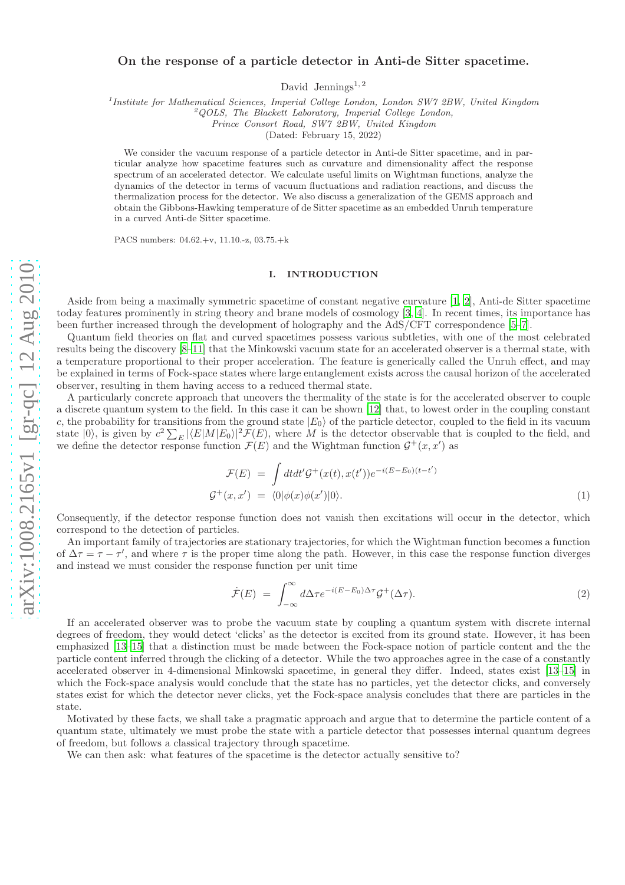# On the response of a particle detector in Anti-de Sitter spacetime.

David Jennings<sup>1,2</sup>

<sup>1</sup>Institute for Mathematical Sciences, Imperial College London, London SW7 2BW, United Kingdom <sup>2</sup>QOLS, The Blackett Laboratory, Imperial College London,

Prince Consort Road, SW7 2BW, United Kingdom

(Dated: February 15, 2022)

We consider the vacuum response of a particle detector in Anti-de Sitter spacetime, and in particular analyze how spacetime features such as curvature and dimensionality affect the response spectrum of an accelerated detector. We calculate useful limits on Wightman functions, analyze the dynamics of the detector in terms of vacuum fluctuations and radiation reactions, and discuss the thermalization process for the detector. We also discuss a generalization of the GEMS approach and obtain the Gibbons-Hawking temperature of de Sitter spacetime as an embedded Unruh temperature in a curved Anti-de Sitter spacetime.

PACS numbers: 04.62.+v, 11.10.-z, 03.75.+k

## I. INTRODUCTION

Aside from being a maximally symmetric spacetime of constant negative curvature [\[1,](#page-11-0) [2\]](#page-11-1), Anti-de Sitter spacetime today features prominently in string theory and brane models of cosmology [\[3,](#page-11-2) [4\]](#page-11-3). In recent times, its importance has been further increased through the development of holography and the AdS/CFT correspondence [\[5](#page-11-4)[–7](#page-11-5)].

Quantum field theories on flat and curved spacetimes possess various subtleties, with one of the most celebrated results being the discovery [\[8](#page-11-6)[–11](#page-11-7)] that the Minkowski vacuum state for an accelerated observer is a thermal state, with a temperature proportional to their proper acceleration. The feature is generically called the Unruh effect, and may be explained in terms of Fock-space states where large entanglement exists across the causal horizon of the accelerated observer, resulting in them having access to a reduced thermal state.

A particularly concrete approach that uncovers the thermality of the state is for the accelerated observer to couple a discrete quantum system to the field. In this case it can be shown [\[12](#page-11-8)] that, to lowest order in the coupling constant c, the probability for transitions from the ground state  $|E_0\rangle$  of the particle detector, coupled to the field in its vacuum state  $|0\rangle$ , is given by  $c^2 \sum_E |\langle E|M|E_0\rangle|^2 \mathcal{F}(E)$ , where M is the detector observable that is coupled to the field, and we define the detector response function  $\mathcal{F}(E)$  and the Wightman function  $\mathcal{G}^+(x,x')$  as

$$
\mathcal{F}(E) = \int dt dt' \mathcal{G}^+(x(t), x(t')) e^{-i(E - E_0)(t - t')}
$$
  

$$
\mathcal{G}^+(x, x') = \langle 0 | \phi(x) \phi(x') | 0 \rangle.
$$
 (1)

Consequently, if the detector response function does not vanish then excitations will occur in the detector, which correspond to the detection of particles.

An important family of trajectories are stationary trajectories, for which the Wightman function becomes a function of  $\Delta \tau = \tau - \tau'$ , and where  $\tau$  is the proper time along the path. However, in this case the response function diverges and instead we must consider the response function per unit time

$$
\dot{\mathcal{F}}(E) = \int_{-\infty}^{\infty} d\Delta \tau e^{-i(E - E_0)\Delta \tau} \mathcal{G}^+(\Delta \tau). \tag{2}
$$

If an accelerated observer was to probe the vacuum state by coupling a quantum system with discrete internal degrees of freedom, they would detect 'clicks' as the detector is excited from its ground state. However, it has been emphasized [\[13](#page-11-9)[–15](#page-11-10)] that a distinction must be made between the Fock-space notion of particle content and the the particle content inferred through the clicking of a detector. While the two approaches agree in the case of a constantly accelerated observer in 4-dimensional Minkowski spacetime, in general they differ. Indeed, states exist [\[13](#page-11-9)[–15\]](#page-11-10) in which the Fock-space analysis would conclude that the state has no particles, yet the detector clicks, and conversely states exist for which the detector never clicks, yet the Fock-space analysis concludes that there are particles in the state.

Motivated by these facts, we shall take a pragmatic approach and argue that to determine the particle content of a quantum state, ultimately we must probe the state with a particle detector that possesses internal quantum degrees of freedom, but follows a classical trajectory through spacetime .

We can then ask: what features of the spacetime is the detector actually sensitive to?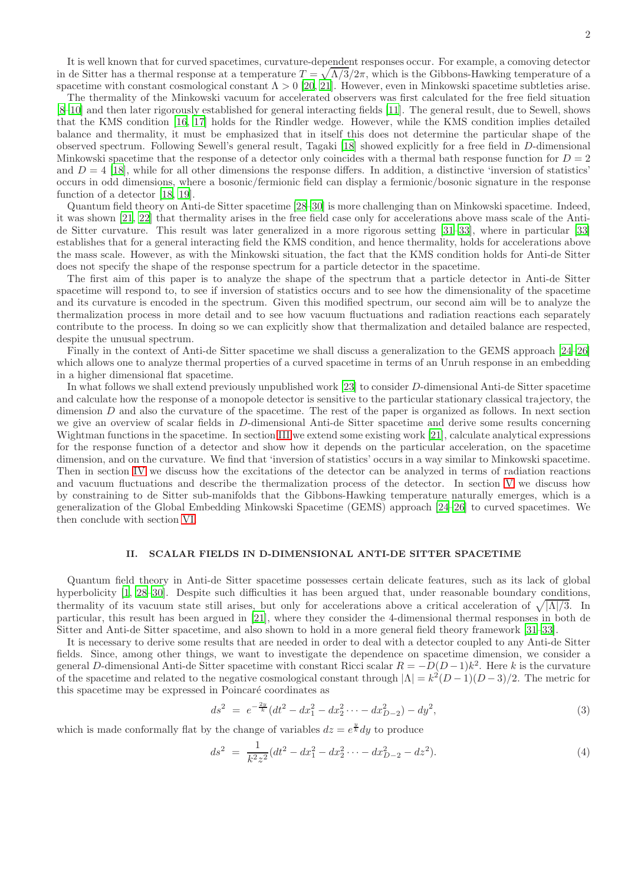It is well known that for curved spacetimes, curvature-dependent responses occur. For example, a comoving detector in de Sitter has a thermal response at a temperature  $T = \sqrt{\Lambda/3}/2\pi$ , which is the Gibbons-Hawking temperature of a spacetime with constant cosmological constant  $\Lambda > 0$  [\[20](#page-11-11), [21\]](#page-11-12). However, even in Minkowski spacetime subtleties arise.

The thermality of the Minkowski vacuum for accelerated observers was first calculated for the free field situation [\[8](#page-11-6)[–10\]](#page-11-13) and then later rigorously established for general interacting fields [\[11\]](#page-11-7). The general result, due to Sewell, shows that the KMS condition [\[16,](#page-11-14) [17\]](#page-11-15) holds for the Rindler wedge. However, while the KMS condition implies detailed balance and thermality, it must be emphasized that in itself this does not determine the particular shape of the observed spectrum. Following Sewell's general result, Tagaki [\[18\]](#page-11-16) showed explicitly for a free field in D-dimensional Minkowski spacetime that the response of a detector only coincides with a thermal bath response function for  $D = 2$ and  $D = 4$  [\[18\]](#page-11-16), while for all other dimensions the response differs. In addition, a distinctive 'inversion of statistics' occurs in odd dimensions, where a bosonic/fermionic field can display a fermionic/bosonic signature in the response function of a detector [\[18](#page-11-16), [19](#page-11-17)].

Quantum field theory on Anti-de Sitter spacetime [\[28](#page-12-0)[–30\]](#page-12-1) is more challenging than on Minkowski spacetime. Indeed, it was shown [\[21](#page-11-12), [22\]](#page-11-18) that thermality arises in the free field case only for accelerations above mass scale of the Antide Sitter curvature. This result was later generalized in a more rigorous setting [\[31](#page-12-2)[–33\]](#page-12-3), where in particular [\[33](#page-12-3)] establishes that for a general interacting field the KMS condition, and hence thermality, holds for accelerations above the mass scale. However, as with the Minkowski situation, the fact that the KMS condition holds for Anti-de Sitter does not specify the shape of the response spectrum for a particle detector in the spacetime.

The first aim of this paper is to analyze the shape of the spectrum that a particle detector in Anti-de Sitter spacetime will respond to, to see if inversion of statistics occurs and to see how the dimensionality of the spacetime and its curvature is encoded in the spectrum. Given this modified spectrum, our second aim will be to analyze the thermalization process in more detail and to see how vacuum fluctuations and radiation reactions each separately contribute to the process. In doing so we can explicitly show that thermalization and detailed balance are respected, despite the unusual spectrum.

Finally in the context of Anti-de Sitter spacetime we shall discuss a generalization to the GEMS approach [\[24](#page-11-19)[–26\]](#page-11-20) which allows one to analyze thermal properties of a curved spacetime in terms of an Unruh response in an embedding in a higher dimensional flat spacetime.

In what follows we shall extend previously unpublished work [\[23](#page-11-21)] to consider D-dimensional Anti-de Sitter spacetime and calculate how the response of a monopole detector is sensitive to the particular stationary classical trajectory, the dimension D and also the curvature of the spacetime. The rest of the paper is organized as follows. In next section we give an overview of scalar fields in D-dimensional Anti-de Sitter spacetime and derive some results concerning Wightman functions in the spacetime. In section [III](#page-4-0) we extend some existing work [\[21\]](#page-11-12), calculate analytical expressions for the response function of a detector and show how it depends on the particular acceleration, on the spacetime dimension, and on the curvature. We find that 'inversion of statistics' occurs in a way similar to Minkowski spacetime. Then in section [IV](#page-7-0) we discuss how the excitations of the detector can be analyzed in terms of radiation reactions and vacuum fluctuations and describe the thermalization process of the detector. In section [V](#page-10-0) we discuss how by constraining to de Sitter sub-manifolds that the Gibbons-Hawking temperature naturally emerges, which is a generalization of the Global Embedding Minkowski Spacetime (GEMS) approach [\[24](#page-11-19)[–26](#page-11-20)] to curved spacetimes. We then conclude with section [VI.](#page-11-22)

#### II. SCALAR FIELDS IN D-DIMENSIONAL ANTI-DE SITTER SPACETIME

Quantum field theory in Anti-de Sitter spacetime possesses certain delicate features, such as its lack of global hyperbolicity [\[1](#page-11-0), [28](#page-12-0)[–30](#page-12-1)]. Despite such difficulties it has been argued that, under reasonable boundary conditions, thermality of its vacuum state still arises, but only for accelerations above a critical acceleration of  $\sqrt{|\Lambda|/3}$ . In particular, this result has been argued in [\[21\]](#page-11-12), where they consider the 4-dimensional thermal responses in both de Sitter and Anti-de Sitter spacetime, and also shown to hold in a more general field theory framework [\[31](#page-12-2)[–33](#page-12-3)].

It is necessary to derive some results that are needed in order to deal with a detector coupled to any Anti-de Sitter fields. Since, among other things, we want to investigate the dependence on spacetime dimension, we consider a general D-dimensional Anti-de Sitter spacetime with constant Ricci scalar  $R = -D(D-1)k^2$ . Here k is the curvature of the spacetime and related to the negative cosmological constant through  $|\Lambda| = k^2(D-1)(D-3)/2$ . The metric for this spacetime may be expressed in Poincaré coordinates as

$$
ds^{2} = e^{-\frac{2y}{k}}(dt^{2} - dx_{1}^{2} - dx_{2}^{2} \cdots - dx_{D-2}^{2}) - dy^{2},
$$
\n(3)

which is made conformally flat by the change of variables  $dz = e^{\frac{y}{k}} dy$  to produce

$$
ds^{2} = \frac{1}{k^{2}z^{2}}(dt^{2} - dx_{1}^{2} - dx_{2}^{2} \cdots - dx_{D-2}^{2} - dz^{2}).
$$
\n(4)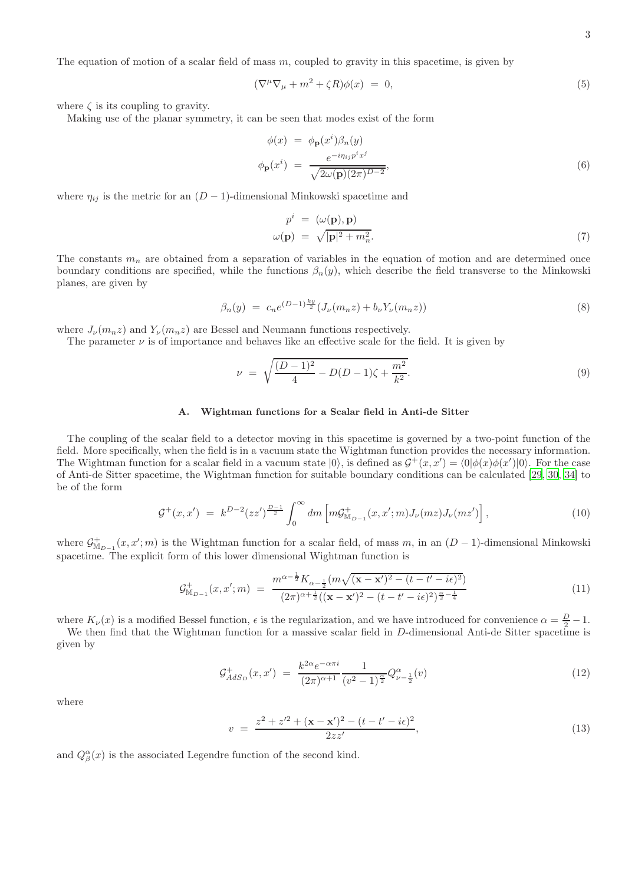The equation of motion of a scalar field of mass m, coupled to gravity in this spacetime, is given by

$$
(\nabla^{\mu}\nabla_{\mu} + m^2 + \zeta R)\phi(x) = 0, \qquad (5)
$$

where  $\zeta$  is its coupling to gravity.

Making use of the planar symmetry, it can be seen that modes exist of the form

$$
\phi(x) = \phi_{\mathbf{p}}(x^i)\beta_n(y)
$$
  

$$
\phi_{\mathbf{p}}(x^i) = \frac{e^{-i\eta_{ij}p^ix^j}}{\sqrt{2\omega(\mathbf{p})(2\pi)^{D-2}}},
$$
\n(6)

where  $\eta_{ij}$  is the metric for an  $(D-1)$ -dimensional Minkowski spacetime and

$$
p^{i} = (\omega(\mathbf{p}), \mathbf{p})
$$
  

$$
\omega(\mathbf{p}) = \sqrt{|\mathbf{p}|^{2} + m_{n}^{2}}.
$$
 (7)

The constants  $m_n$  are obtained from a separation of variables in the equation of motion and are determined once boundary conditions are specified, while the functions  $\beta_n(y)$ , which describe the field transverse to the Minkowski planes, are given by

$$
\beta_n(y) \ = \ c_n e^{(D-1)\frac{ky}{2}} (J_\nu(m_n z) + b_\nu Y_\nu(m_n z)) \tag{8}
$$

where  $J_{\nu}(m_n z)$  and  $Y_{\nu}(m_n z)$  are Bessel and Neumann functions respectively.

The parameter  $\nu$  is of importance and behaves like an effective scale for the field. It is given by

$$
\nu = \sqrt{\frac{(D-1)^2}{4} - D(D-1)\zeta + \frac{m^2}{k^2}}.
$$
\n(9)

### A. Wightman functions for a Scalar field in Anti-de Sitter

The coupling of the scalar field to a detector moving in this spacetime is governed by a two-point function of the field. More specifically, when the field is in a vacuum state the Wightman function provides the necessary information. The Wightman function for a scalar field in a vacuum state  $|0\rangle$ , is defined as  $\mathcal{G}^+(x,x') = \langle 0 | \phi(x) \phi(x') | 0 \rangle$ . For the case of Anti-de Sitter spacetime, the Wightman function for suitable boundary conditions can be calculated [\[29,](#page-12-4) [30,](#page-12-1) [34\]](#page-12-5) to be of the form

$$
\mathcal{G}^+(x,x') = k^{D-2}(zz')^{\frac{D-1}{2}} \int_0^\infty dm \left[ m \mathcal{G}^+_{\mathbb{M}_{D-1}}(x,x';m) J_\nu(mz) J_\nu(mz') \right],\tag{10}
$$

where  $\mathcal{G}^+_{M_{D-1}}(x, x'; m)$  is the Wightman function for a scalar field, of mass m, in an  $(D-1)$ -dimensional Minkowski spacetime. The explicit form of this lower dimensional Wightman function is

$$
\mathcal{G}_{\mathbb{M}_{D-1}}^{+}(x, x'; m) = \frac{m^{\alpha - \frac{1}{2}} K_{\alpha - \frac{1}{2}}(m\sqrt{(\mathbf{x} - \mathbf{x}')^2 - (t - t' - i\epsilon)^2})}{(2\pi)^{\alpha + \frac{1}{2}}((\mathbf{x} - \mathbf{x}')^2 - (t - t' - i\epsilon)^2)^{\frac{\alpha}{2} - \frac{1}{4}}}
$$
(11)

where  $K_{\nu}(x)$  is a modified Bessel function,  $\epsilon$  is the regularization, and we have introduced for convenience  $\alpha = \frac{D}{2} - 1$ .

We then find that the Wightman function for a massive scalar field in D-dimensional Anti-de Sitter spacetime is given by

<span id="page-2-0"></span>
$$
\mathcal{G}^+_{AdS_D}(x, x') = \frac{k^{2\alpha} e^{-\alpha \pi i}}{(2\pi)^{\alpha+1}} \frac{1}{(v^2 - 1)^{\frac{\alpha}{2}}} Q^{\alpha}_{\nu - \frac{1}{2}}(v) \tag{12}
$$

where

$$
v = \frac{z^2 + z'^2 + (\mathbf{x} - \mathbf{x}')^2 - (t - t' - i\epsilon)^2}{2zz'},
$$
\n(13)

and  $Q_{\beta}^{\alpha}(x)$  is the associated Legendre function of the second kind.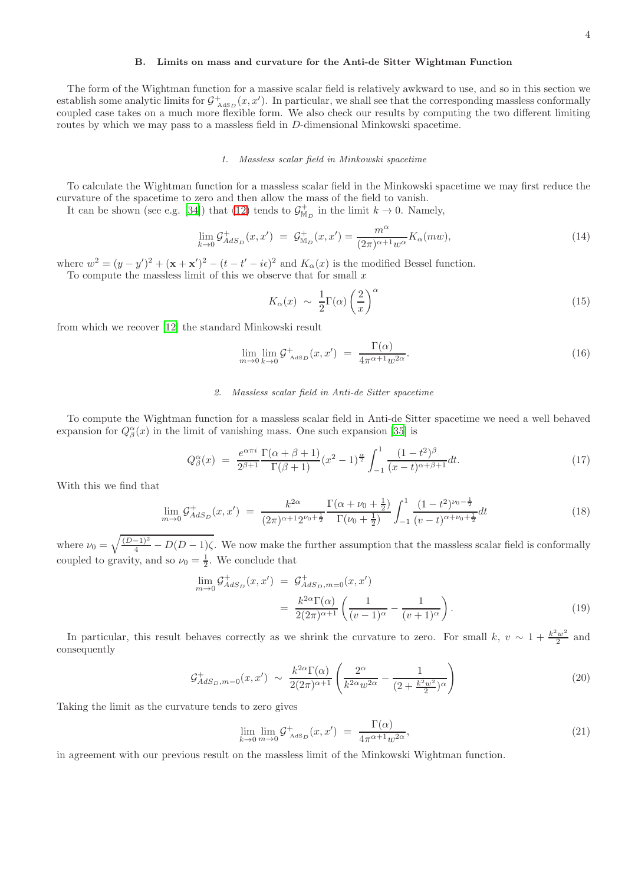## B. Limits on mass and curvature for the Anti-de Sitter Wightman Function

The form of the Wightman function for a massive scalar field is relatively awkward to use, and so in this section we establish some analytic limits for  $\mathcal{G}^+_{\text{AdS}_D}(x, x')$ . In particular, we shall see that the corresponding massless conformally coupled case takes on a much more flexible form. We also check our results by computing the two different limiting routes by which we may pass to a massless field in D-dimensional Minkowski spacetime.

## 1. Massless scalar field in Minkowski spacetime

To calculate the Wightman function for a massless scalar field in the Minkowski spacetime we may first reduce the curvature of the spacetime to zero and then allow the mass of the field to vanish.

It can be shown (see e.g. [\[34\]](#page-12-5)) that [\(12\)](#page-2-0) tends to  $\mathcal{G}^+_{M_D}$  in the limit  $k \to 0$ . Namely,

$$
\lim_{k \to 0} \mathcal{G}_{AdS_D}^+(x, x') = \mathcal{G}_{\mathbb{M}_D}^+(x, x') = \frac{m^{\alpha}}{(2\pi)^{\alpha+1} w^{\alpha}} K_{\alpha}(mw), \tag{14}
$$

where  $w^2 = (y - y')^2 + (\mathbf{x} + \mathbf{x}')^2 - (t - t' - i\epsilon)^2$  and  $K_\alpha(x)$  is the modified Bessel function. To compute the massless limit of this we observe that for small  $x$ 

$$
K_{\alpha}(x) \sim \frac{1}{2} \Gamma(\alpha) \left(\frac{2}{x}\right)^{\alpha} \tag{15}
$$

from which we recover [\[12\]](#page-11-8) the standard Minkowski result

$$
\lim_{m \to 0} \lim_{k \to 0} \mathcal{G}^+_{\text{AdS}_D}(x, x') = \frac{\Gamma(\alpha)}{4\pi^{\alpha+1} w^{2\alpha}}.
$$
\n(16)

## 2. Massless scalar field in Anti-de Sitter spacetime

To compute the Wightman function for a massless scalar field in Anti-de Sitter spacetime we need a well behaved expansion for  $Q^{\alpha}_{\beta}(x)$  in the limit of vanishing mass. One such expansion [\[35\]](#page-12-6) is

$$
Q_{\beta}^{\alpha}(x) = \frac{e^{\alpha \pi i}}{2^{\beta+1}} \frac{\Gamma(\alpha+\beta+1)}{\Gamma(\beta+1)} (x^2-1)^{\frac{\alpha}{2}} \int_{-1}^{1} \frac{(1-t^2)^{\beta}}{(x-t)^{\alpha+\beta+1}} dt.
$$
 (17)

With this we find that

$$
\lim_{m \to 0} \mathcal{G}_{AdS_D}^+(x, x') = \frac{k^{2\alpha}}{(2\pi)^{\alpha+1} 2^{\nu_0 + \frac{1}{2}}} \frac{\Gamma(\alpha + \nu_0 + \frac{1}{2})}{\Gamma(\nu_0 + \frac{1}{2})} \int_{-1}^1 \frac{(1 - t^2)^{\nu_0 - \frac{1}{2}}}{(v - t)^{\alpha + \nu_0 + \frac{1}{2}}} dt
$$
\n(18)

where  $\nu_0 = \sqrt{\frac{(D-1)^2}{4} - D(D-1)\zeta}$ . We now make the further assumption that the massless scalar field is conformally coupled to gravity, and so  $\nu_0 = \frac{1}{2}$ . We conclude that

<span id="page-3-0"></span>
$$
\lim_{m \to 0} \mathcal{G}_{AdS_D}^+(x, x') = \mathcal{G}_{AdS_D, m=0}^+(x, x')
$$
\n
$$
= \frac{k^{2\alpha} \Gamma(\alpha)}{2(2\pi)^{\alpha+1}} \left( \frac{1}{(v-1)^{\alpha}} - \frac{1}{(v+1)^{\alpha}} \right). \tag{19}
$$

In particular, this result behaves correctly as we shrink the curvature to zero. For small k,  $v \sim 1 + \frac{k^2 w^2}{2}$  $rac{w^2}{2}$  and consequently

$$
\mathcal{G}^{+}_{AdS_D, m=0}(x, x') \sim \frac{k^{2\alpha} \Gamma(\alpha)}{2(2\pi)^{\alpha+1}} \left( \frac{2^{\alpha}}{k^{2\alpha} w^{2\alpha}} - \frac{1}{(2 + \frac{k^2 w^2}{2})^{\alpha}} \right) \tag{20}
$$

Taking the limit as the curvature tends to zero gives

$$
\lim_{k \to 0} \lim_{m \to 0} \mathcal{G}^+_{\text{AdS}_D}(x, x') = \frac{\Gamma(\alpha)}{4\pi^{\alpha+1} w^{2\alpha}},\tag{21}
$$

in agreement with our previous result on the massless limit of the Minkowski Wightman function.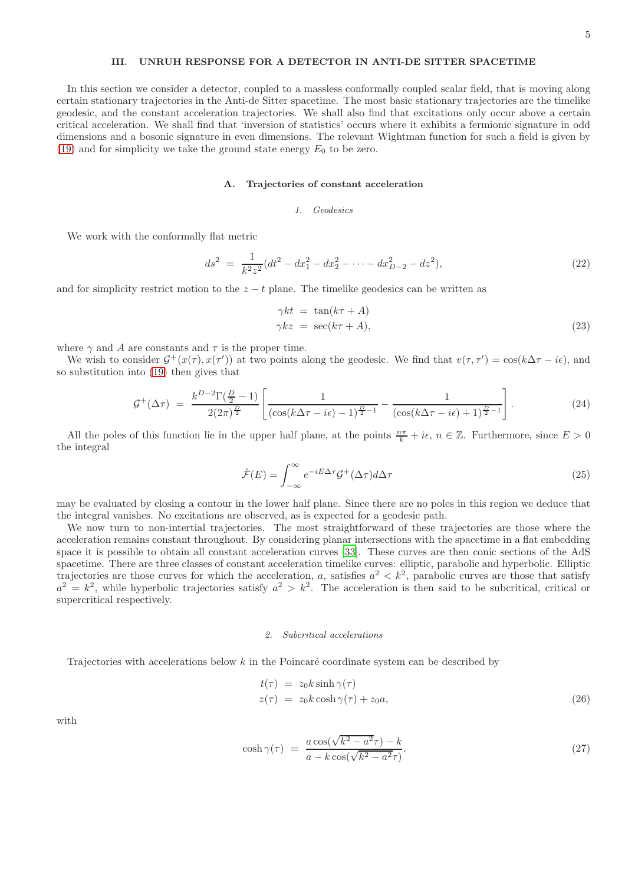## <span id="page-4-0"></span>III. UNRUH RESPONSE FOR A DETECTOR IN ANTI-DE SITTER SPACETIME

In this section we consider a detector, coupled to a massless conformally coupled scalar field, that is moving along certain stationary trajectories in the Anti-de Sitter spacetime. The most basic stationary trajectories are the timelike geodesic, and the constant acceleration trajectories. We shall also find that excitations only occur above a certain critical acceleration. We shall find that 'inversion of statistics' occurs where it exhibits a fermionic signature in odd dimensions and a bosonic signature in even dimensions. The relevant Wightman function for such a field is given by [\(19\)](#page-3-0) and for simplicity we take the ground state energy  $E_0$  to be zero.

## <span id="page-4-1"></span>A. Trajectories of constant acceleration

#### 1. Geodesics

We work with the conformally flat metric

$$
ds^{2} = \frac{1}{k^{2}z^{2}}(dt^{2} - dx_{1}^{2} - dx_{2}^{2} - \dots - dx_{D-2}^{2} - dz^{2}),
$$
\n(22)

and for simplicity restrict motion to the  $z - t$  plane. The timelike geodesics can be written as

$$
\gamma kt = \tan(k\tau + A) \n\gamma kz = \sec(k\tau + A),
$$
\n(23)

where  $\gamma$  and A are constants and  $\tau$  is the proper time.

We wish to consider  $\mathcal{G}^+(x(\tau), x(\tau'))$  at two points along the geodesic. We find that  $v(\tau, \tau') = \cos(k\Delta\tau - i\epsilon)$ , and so substitution into [\(19\)](#page-3-0) then gives that

$$
\mathcal{G}^{+}(\Delta \tau) = \frac{k^{D-2} \Gamma(\frac{D}{2} - 1)}{2(2\pi)^{\frac{D}{2}}} \left[ \frac{1}{(\cos(k\Delta \tau - i\epsilon) - 1)^{\frac{D}{2} - 1}} - \frac{1}{(\cos(k\Delta \tau - i\epsilon) + 1)^{\frac{D}{2} - 1}} \right].
$$
\n(24)

All the poles of this function lie in the upper half plane, at the points  $\frac{n\pi}{k} + i\epsilon$ ,  $n \in \mathbb{Z}$ . Furthermore, since  $E > 0$ the integral

$$
\dot{\mathcal{F}}(E) = \int_{-\infty}^{\infty} e^{-iE\Delta\tau} \mathcal{G}^+(\Delta\tau) d\Delta\tau
$$
\n(25)

may be evaluated by closing a contour in the lower half plane. Since there are no poles in this region we deduce that the integral vanishes. No excitations are observed, as is expected for a geodesic path.

We now turn to non-intertial trajectories. The most straightforward of these trajectories are those where the acceleration remains constant throughout. By considering planar intersections with the spacetime in a flat embedding space it is possible to obtain all constant acceleration curves [\[33](#page-12-3)]. These curves are then conic sections of the AdS spacetime. There are three classes of constant acceleration timelike curves: elliptic, parabolic and hyperbolic. Elliptic trajectories are those curves for which the acceleration, a, satisfies  $a^2 < k^2$ , parabolic curves are those that satisfy  $a^2 = k^2$ , while hyperbolic trajectories satisfy  $a^2 > k^2$ . The acceleration is then said to be subcritical, critical or supercritical respectively.

#### 2. Subcritical accelerations

Trajectories with accelerations below  $k$  in the Poincaré coordinate system can be described by

$$
t(\tau) = z_0 k \sinh \gamma(\tau)
$$
  
\n
$$
z(\tau) = z_0 k \cosh \gamma(\tau) + z_0 a,
$$
\n(26)

with

$$
\cosh \gamma(\tau) = \frac{a \cos(\sqrt{k^2 - a^2}\tau) - k}{a - k \cos(\sqrt{k^2 - a^2}\tau)}.
$$
\n(27)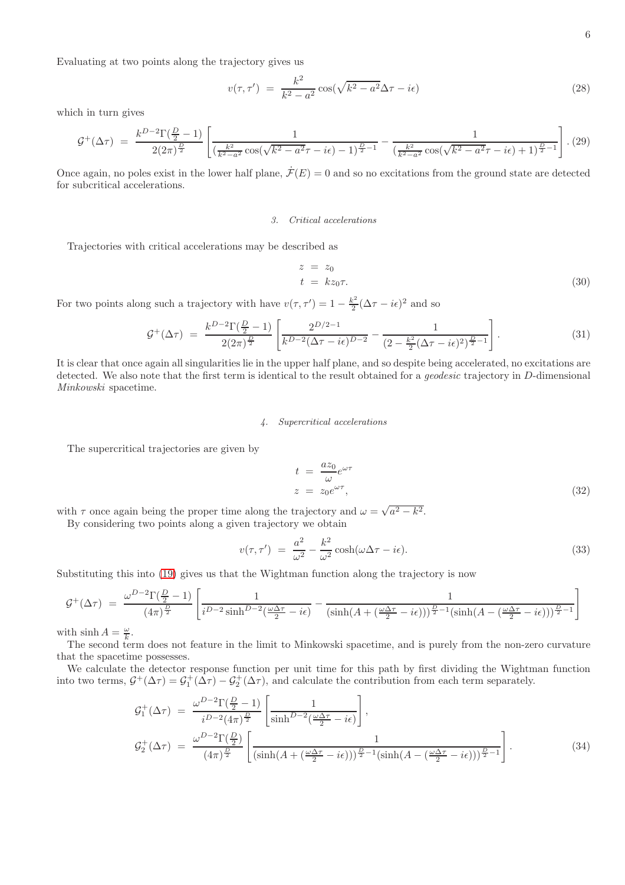Evaluating at two points along the trajectory gives us

$$
v(\tau, \tau') = \frac{k^2}{k^2 - a^2} \cos(\sqrt{k^2 - a^2} \Delta \tau - i\epsilon)
$$
\n(28)

which in turn gives

$$
\mathcal{G}^{+}(\Delta \tau) = \frac{k^{D-2} \Gamma(\frac{D}{2}-1)}{2(2\pi)^{\frac{D}{2}}} \left[ \frac{1}{(\frac{k^2}{k^2 - a^2} \cos(\sqrt{k^2 - a^2}\tau - i\epsilon) - 1)^{\frac{D}{2}-1}} - \frac{1}{(\frac{k^2}{k^2 - a^2} \cos(\sqrt{k^2 - a^2}\tau - i\epsilon) + 1)^{\frac{D}{2}-1}} \right]. (29)
$$

Once again, no poles exist in the lower half plane,  $\dot{\mathcal{F}}(E) = 0$  and so no excitations from the ground state are detected for subcritical accelerations.

#### 3. Critical accelerations

Trajectories with critical accelerations may be described as

$$
z = z_0
$$
  
\n
$$
t = kz_0 \tau.
$$
 (30)

For two points along such a trajectory with have  $v(\tau, \tau') = 1 - \frac{k^2}{2}$  $\frac{\epsilon^2}{2}(\Delta \tau - i\epsilon)^2$  and so

$$
\mathcal{G}^{+}(\Delta \tau) = \frac{k^{D-2} \Gamma(\frac{D}{2} - 1)}{2(2\pi)^{\frac{D}{2}}} \left[ \frac{2^{D/2 - 1}}{k^{D-2} (\Delta \tau - i\epsilon)^{D-2}} - \frac{1}{(2 - \frac{k^2}{2} (\Delta \tau - i\epsilon)^2)^{\frac{D}{2} - 1}} \right].
$$
\n(31)

It is clear that once again all singularities lie in the upper half plane, and so despite being accelerated, no excitations are detected. We also note that the first term is identical to the result obtained for a *geodesic* trajectory in D-dimensional Minkowski spacetime.

## 4. Supercritical accelerations

The supercritical trajectories are given by

$$
t = \frac{az_0}{\omega} e^{\omega \tau}
$$
  
\n
$$
z = z_0 e^{\omega \tau},
$$
\n(32)

with  $\tau$  once again being the proper time along the trajectory and  $\omega = \sqrt{a^2 - k^2}$ .

By considering two points along a given trajectory we obtain

$$
v(\tau, \tau') = \frac{a^2}{\omega^2} - \frac{k^2}{\omega^2} \cosh(\omega \Delta \tau - i\epsilon).
$$
 (33)

Substituting this into [\(19\)](#page-3-0) gives us that the Wightman function along the trajectory is now

$$
\mathcal{G}^{+}(\Delta \tau) = \frac{\omega^{D-2} \Gamma(\frac{D}{2}-1)}{(4\pi)^{\frac{D}{2}}} \left[ \frac{1}{i^{D-2}\sinh^{D-2}(\frac{\omega \Delta \tau}{2} - i\epsilon)} - \frac{1}{(\sinh(A + (\frac{\omega \Delta \tau}{2} - i\epsilon)))^{\frac{D}{2}-1}(\sinh(A - (\frac{\omega \Delta \tau}{2} - i\epsilon)))^{\frac{D}{2}-1}} \right]
$$

with  $\sinh A = \frac{\omega}{k}$ .

The second term does not feature in the limit to Minkowski spacetime, and is purely from the non-zero curvature that the spacetime possesses.

We calculate the detector response function per unit time for this path by first dividing the Wightman function into two terms,  $G^+(\Delta \tau) = G^+(\Delta \tau) - G^+(\Delta \tau)$ , and calculate the contribution from each term separately.

$$
\mathcal{G}_{1}^{+}(\Delta \tau) = \frac{\omega^{D-2} \Gamma(\frac{D}{2}-1)}{i^{D-2} (4\pi)^{\frac{D}{2}}} \left[ \frac{1}{\sinh^{D-2}(\frac{\omega \Delta \tau}{2} - i\epsilon)} \right],
$$
\n
$$
\mathcal{G}_{2}^{+}(\Delta \tau) = \frac{\omega^{D-2} \Gamma(\frac{D}{2})}{(4\pi)^{\frac{D}{2}}} \left[ \frac{1}{(\sinh(A + (\frac{\omega \Delta \tau}{2} - i\epsilon)))^{\frac{D}{2}-1} (\sinh(A - (\frac{\omega \Delta \tau}{2} - i\epsilon)))^{\frac{D}{2}-1}} \right].
$$
\n(34)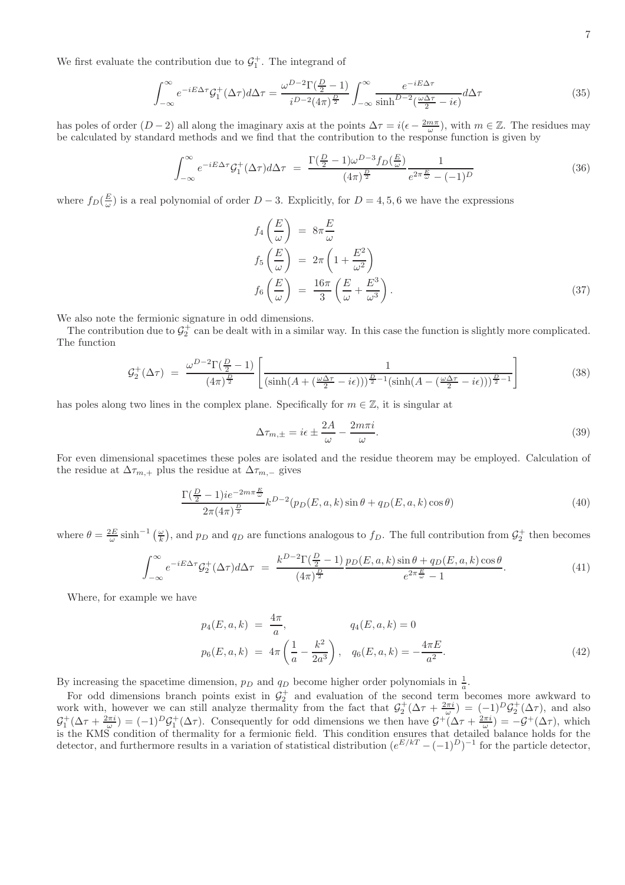We first evaluate the contribution due to  $\mathcal{G}_1^+$ . The integrand of

$$
\int_{-\infty}^{\infty} e^{-iE\Delta\tau} \mathcal{G}_1^+(\Delta\tau) d\Delta\tau = \frac{\omega^{D-2} \Gamma(\frac{D}{2} - 1)}{i^{D-2} (4\pi)^{\frac{D}{2}}} \int_{-\infty}^{\infty} \frac{e^{-iE\Delta\tau}}{\sinh^{D-2} (\frac{\omega\Delta\tau}{2} - i\epsilon)} d\Delta\tau
$$
\n(35)

has poles of order  $(D-2)$  all along the imaginary axis at the points  $\Delta \tau = i(\epsilon - \frac{2m\pi}{\omega})$ , with  $m \in \mathbb{Z}$ . The residues may be calculated by standard methods and we find that the contribution to the response function is given by

$$
\int_{-\infty}^{\infty} e^{-iE\Delta\tau} \mathcal{G}_1^+(\Delta\tau) d\Delta\tau = \frac{\Gamma(\frac{D}{2}-1)\omega^{D-3} f_D(\frac{E}{\omega})}{(4\pi)^{\frac{D}{2}}} \frac{1}{e^{2\pi \frac{E}{\omega}} - (-1)^D}
$$
(36)

where  $f_D(\frac{E}{\omega})$  is a real polynomial of order  $D-3$ . Explicitly, for  $D=4,5,6$  we have the expressions

$$
f_4\left(\frac{E}{\omega}\right) = 8\pi \frac{E}{\omega}
$$
  
\n
$$
f_5\left(\frac{E}{\omega}\right) = 2\pi \left(1 + \frac{E^2}{\omega^2}\right)
$$
  
\n
$$
f_6\left(\frac{E}{\omega}\right) = \frac{16\pi}{3} \left(\frac{E}{\omega} + \frac{E^3}{\omega^3}\right).
$$
\n(37)

We also note the fermionic signature in odd dimensions.

The contribution due to  $\mathcal{G}_2^+$  can be dealt with in a similar way. In this case the function is slightly more complicated. The function

$$
\mathcal{G}_2^+(\Delta \tau) = \frac{\omega^{D-2} \Gamma(\frac{D}{2}-1)}{(4\pi)^{\frac{D}{2}}} \left[ \frac{1}{\left(\sinh(A + (\frac{\omega \Delta \tau}{2} - i\epsilon))\right)^{\frac{D}{2}-1} \left(\sinh(A - (\frac{\omega \Delta \tau}{2} - i\epsilon))\right)^{\frac{D}{2}-1}} \right]
$$
(38)

has poles along two lines in the complex plane. Specifically for  $m \in \mathbb{Z}$ , it is singular at

$$
\Delta \tau_{m,\pm} = i\epsilon \pm \frac{2A}{\omega} - \frac{2m\pi i}{\omega}.
$$
\n(39)

For even dimensional spacetimes these poles are isolated and the residue theorem may be employed. Calculation of the residue at  $\Delta \tau_{m,+}$  plus the residue at  $\Delta \tau_{m,-}$  gives

$$
\frac{\Gamma(\frac{D}{2}-1)ie^{-2m\pi\frac{E}{\omega}}}{2\pi(4\pi)^{\frac{D}{2}}}k^{D-2}(p_D(E,a,k)\sin\theta+q_D(E,a,k)\cos\theta)
$$
\n(40)

where  $\theta = \frac{2E}{\omega} \sinh^{-1}(\frac{\omega}{k})$ , and  $p_D$  and  $q_D$  are functions analogous to  $f_D$ . The full contribution from  $\mathcal{G}_2^+$  then becomes

$$
\int_{-\infty}^{\infty} e^{-iE\Delta\tau} \mathcal{G}_2^+(\Delta\tau) d\Delta\tau = \frac{k^{D-2} \Gamma(\frac{D}{2}-1)}{(4\pi)^{\frac{D}{2}}} \frac{p_D(E, a, k) \sin\theta + q_D(E, a, k) \cos\theta}{e^{2\pi \frac{E}{\omega}} - 1}.
$$
(41)

Where, for example we have

$$
p_4(E, a, k) = \frac{4\pi}{a}, \qquad q_4(E, a, k) = 0
$$
  

$$
p_6(E, a, k) = 4\pi \left(\frac{1}{a} - \frac{k^2}{2a^3}\right), \qquad q_6(E, a, k) = -\frac{4\pi E}{a^2}.
$$
 (42)

By increasing the spacetime dimension,  $p_D$  and  $q_D$  become higher order polynomials in  $\frac{1}{a}$ .

For odd dimensions branch points exist in  $\mathcal{G}_2^+$  and evaluation of the second term becomes more awkward to work with, however we can still analyze thermality from the fact that  $\mathcal{G}_2^+(\Delta \tau + \frac{2\pi i}{\omega}) = (-1)^D \mathcal{G}_2^+(\Delta \tau)$ , and also  $\mathcal{G}_1^+(\Delta \tau + \frac{2\pi i}{\omega}) = (-1)^D \mathcal{G}_1^+(\Delta \tau)$ . Consequently for odd dimensions we then have  $\mathcal{G}^+(\Delta \tau + \frac{2\pi i}{\omega}) = -\mathcal{G}^+(\Delta \tau)$ , which is the KMS condition of thermality for a fermionic field. This condition ensures that detailed balance holds for the detector, and furthermore results in a variation of statistical distribution  $(e^{E/kT}-(-1)^D)^{-1}$  for the particle detector,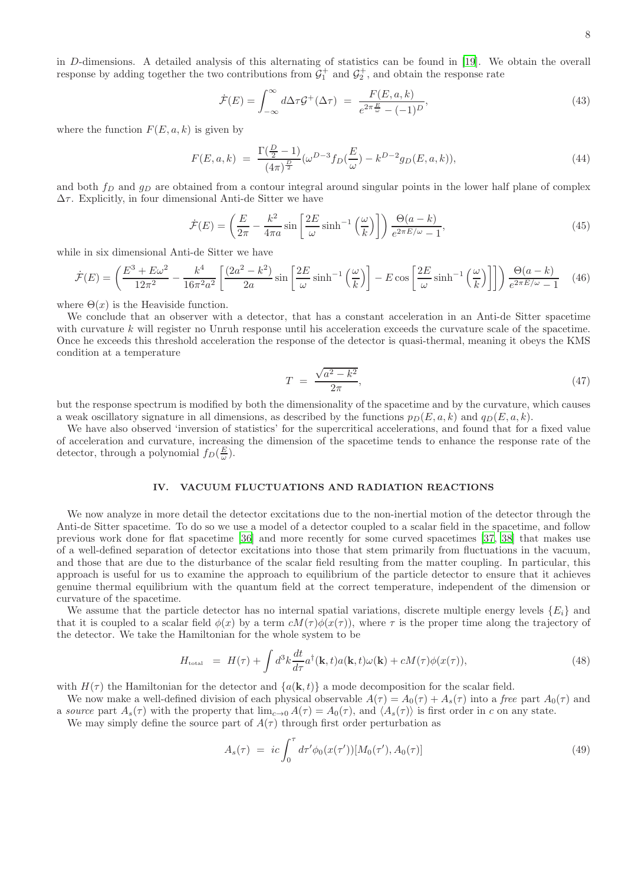in D-dimensions. A detailed analysis of this alternating of statistics can be found in [\[19\]](#page-11-17). We obtain the overall response by adding together the two contributions from  $\mathcal{G}_1^+$  and  $\mathcal{G}_2^+$ , and obtain the response rate

$$
\dot{\mathcal{F}}(E) = \int_{-\infty}^{\infty} d\Delta \tau \mathcal{G}^+(\Delta \tau) = \frac{F(E, a, k)}{e^{2\pi \frac{E}{\omega}} - (-1)^D},\tag{43}
$$

where the function  $F(E, a, k)$  is given by

$$
F(E, a, k) = \frac{\Gamma(\frac{D}{2} - 1)}{(4\pi)^{\frac{D}{2}}} (\omega^{D-3} f_D(\frac{E}{\omega}) - k^{D-2} g_D(E, a, k)), \tag{44}
$$

and both  $f_D$  and  $g_D$  are obtained from a contour integral around singular points in the lower half plane of complex  $\Delta\tau.$  Explicitly, in four dimensional Anti-de Sitter we have

$$
\dot{\mathcal{F}}(E) = \left(\frac{E}{2\pi} - \frac{k^2}{4\pi a} \sin\left[\frac{2E}{\omega}\sinh^{-1}\left(\frac{\omega}{k}\right)\right]\right) \frac{\Theta(a-k)}{e^{2\pi E/\omega} - 1},\tag{45}
$$

while in six dimensional Anti-de Sitter we have

$$
\dot{\mathcal{F}}(E) = \left(\frac{E^3 + E\omega^2}{12\pi^2} - \frac{k^4}{16\pi^2 a^2} \left[\frac{(2a^2 - k^2)}{2a} \sin\left[\frac{2E}{\omega}\sinh^{-1}\left(\frac{\omega}{k}\right)\right] - E\cos\left[\frac{2E}{\omega}\sinh^{-1}\left(\frac{\omega}{k}\right)\right]\right)\right) \frac{\Theta(a - k)}{e^{2\pi E/\omega} - 1} \tag{46}
$$

where  $\Theta(x)$  is the Heaviside function.

We conclude that an observer with a detector, that has a constant acceleration in an Anti-de Sitter spacetime with curvature k will register no Unruh response until his acceleration exceeds the curvature scale of the spacetime. Once he exceeds this threshold acceleration the response of the detector is quasi-thermal, meaning it obeys the KMS condition at a temperature

$$
T = \frac{\sqrt{a^2 - k^2}}{2\pi},\tag{47}
$$

but the response spectrum is modified by both the dimensionality of the spacetime and by the curvature, which causes a weak oscillatory signature in all dimensions, as described by the functions  $p_D(E, a, k)$  and  $q_D(E, a, k)$ .

We have also observed 'inversion of statistics' for the supercritical accelerations, and found that for a fixed value of acceleration and curvature, increasing the dimension of the spacetime tends to enhance the response rate of the detector, through a polynomial  $f_D(\frac{E}{\omega})$ .

## <span id="page-7-0"></span>IV. VACUUM FLUCTUATIONS AND RADIATION REACTIONS

We now analyze in more detail the detector excitations due to the non-inertial motion of the detector through the Anti-de Sitter spacetime. To do so we use a model of a detector coupled to a scalar field in the spacetime, and follow previous work done for flat spacetime [\[36\]](#page-12-7) and more recently for some curved spacetimes [\[37,](#page-12-8) [38\]](#page-12-9) that makes use of a well-defined separation of detector excitations into those that stem primarily from fluctuations in the vacuum, and those that are due to the disturbance of the scalar field resulting from the matter coupling. In particular, this approach is useful for us to examine the approach to equilibrium of the particle detector to ensure that it achieves genuine thermal equilibrium with the quantum field at the correct temperature, independent of the dimension or curvature of the spacetime.

We assume that the particle detector has no internal spatial variations, discrete multiple energy levels  $\{E_i\}$  and that it is coupled to a scalar field  $\phi(x)$  by a term  $cM(\tau)\phi(x(\tau))$ , where  $\tau$  is the proper time along the trajectory of the detector. We take the Hamiltonian for the whole system to be

$$
H_{\text{total}} = H(\tau) + \int d^3k \frac{dt}{d\tau} a^{\dagger}(\mathbf{k}, t) a(\mathbf{k}, t) \omega(\mathbf{k}) + cM(\tau) \phi(x(\tau)), \tag{48}
$$

with  $H(\tau)$  the Hamiltonian for the detector and  $\{a(\mathbf{k},t)\}\$ a mode decomposition for the scalar field.

We now make a well-defined division of each physical observable  $A(\tau) = A_0(\tau) + A_s(\tau)$  into a free part  $A_0(\tau)$  and a source part  $A_s(\tau)$  with the property that  $\lim_{c\to 0} A(\tau) = A_0(\tau)$ , and  $\langle A_s(\tau) \rangle$  is first order in c on any state.

We may simply define the source part of  $A(\tau)$  through first order perturbation as

$$
A_s(\tau) = ic \int_0^{\tau} d\tau' \phi_0(x(\tau')) [M_0(\tau'), A_0(\tau)] \tag{49}
$$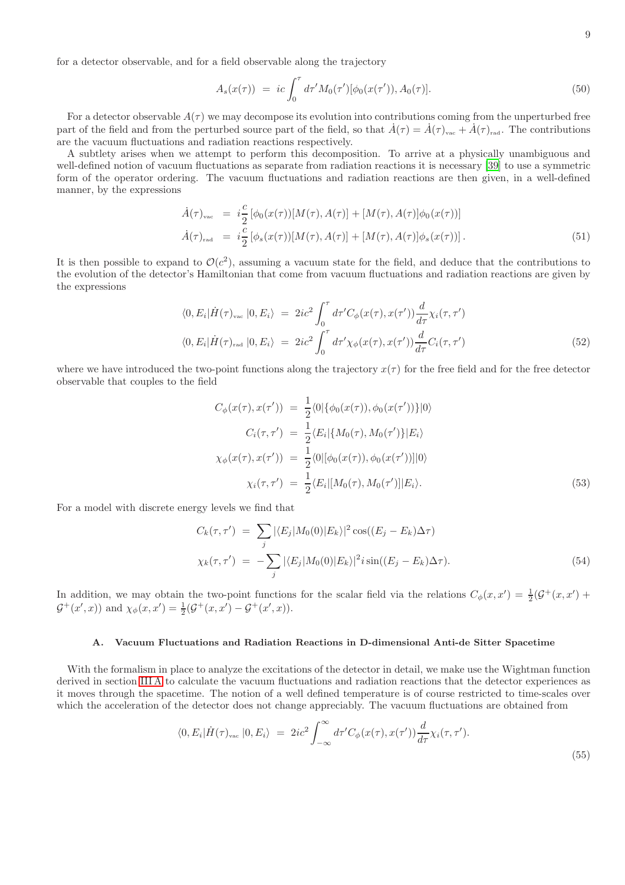for a detector observable, and for a field observable along the trajectory

$$
A_s(x(\tau)) = ic \int_0^{\tau} d\tau' M_0(\tau')[\phi_0(x(\tau')), A_0(\tau)]. \tag{50}
$$

For a detector observable  $A(\tau)$  we may decompose its evolution into contributions coming from the unperturbed free part of the field and from the perturbed source part of the field, so that  $\hat{A}(\tau) = \hat{A}(\tau)_{\text{vac}} + \hat{A}(\tau)_{\text{rad}}$ . The contributions are the vacuum fluctuations and radiation reactions respectively.

A subtlety arises when we attempt to perform this decomposition. To arrive at a physically unambiguous and well-defined notion of vacuum fluctuations as separate from radiation reactions it is necessary [\[39\]](#page-12-10) to use a symmetric form of the operator ordering. The vacuum fluctuations and radiation reactions are then given, in a well-defined manner, by the expressions

$$
\dot{A}(\tau)_{\text{vac}} = i\frac{c}{2} [\phi_0(x(\tau))[M(\tau), A(\tau)] + [M(\tau), A(\tau)]\phi_0(x(\tau))]
$$
\n
$$
\dot{A}(\tau)_{\text{rad}} = i\frac{c}{2} [\phi_s(x(\tau))[M(\tau), A(\tau)] + [M(\tau), A(\tau)]\phi_s(x(\tau))]. \tag{51}
$$

It is then possible to expand to  $\mathcal{O}(c^2)$ , assuming a vacuum state for the field, and deduce that the contributions to the evolution of the detector's Hamiltonian that come from vacuum fluctuations and radiation reactions are given by the expressions

$$
\langle 0, E_i | \dot{H}(\tau)_{\text{vac}} | 0, E_i \rangle = 2ic^2 \int_0^{\tau} d\tau' C_{\phi}(x(\tau), x(\tau')) \frac{d}{d\tau} \chi_i(\tau, \tau')
$$
  

$$
\langle 0, E_i | \dot{H}(\tau)_{\text{rad}} | 0, E_i \rangle = 2ic^2 \int_0^{\tau} d\tau' \chi_{\phi}(x(\tau), x(\tau')) \frac{d}{d\tau} C_i(\tau, \tau')
$$
(52)

where we have introduced the two-point functions along the trajectory  $x(\tau)$  for the free field and for the free detector observable that couples to the field

$$
C_{\phi}(x(\tau), x(\tau')) = \frac{1}{2} \langle 0 | \{ \phi_0(x(\tau)), \phi_0(x(\tau')) \} | 0 \rangle
$$
  
\n
$$
C_i(\tau, \tau') = \frac{1}{2} \langle E_i | \{ M_0(\tau), M_0(\tau') \} | E_i \rangle
$$
  
\n
$$
\chi_{\phi}(x(\tau), x(\tau')) = \frac{1}{2} \langle 0 | [\phi_0(x(\tau)), \phi_0(x(\tau'))] | 0 \rangle
$$
  
\n
$$
\chi_i(\tau, \tau') = \frac{1}{2} \langle E_i | [M_0(\tau), M_0(\tau')] | E_i \rangle.
$$
\n(53)

For a model with discrete energy levels we find that

$$
C_k(\tau, \tau') = \sum_j |\langle E_j | M_0(0) | E_k \rangle|^2 \cos((E_j - E_k) \Delta \tau)
$$
  

$$
\chi_k(\tau, \tau') = -\sum_j |\langle E_j | M_0(0) | E_k \rangle|^2 i \sin((E_j - E_k) \Delta \tau).
$$
 (54)

In addition, we may obtain the two-point functions for the scalar field via the relations  $C_{\phi}(x, x') = \frac{1}{2}(\mathcal{G}^+(x, x') +$  $\mathcal{G}^+(x',x)$  and  $\chi_{\phi}(x,x') = \frac{1}{2}(\mathcal{G}^+(x,x') - \mathcal{G}^+(x',x)).$ 

# A. Vacuum Fluctuations and Radiation Reactions in D-dimensional Anti-de Sitter Spacetime

With the formalism in place to analyze the excitations of the detector in detail, we make use the Wightman function derived in section [III A](#page-4-1) to calculate the vacuum fluctuations and radiation reactions that the detector experiences as it moves through the spacetime. The notion of a well defined temperature is of course restricted to time-scales over which the acceleration of the detector does not change appreciably. The vacuum fluctuations are obtained from

$$
\langle 0, E_i | \dot{H}(\tau)_{\text{vac}} | 0, E_i \rangle = 2ic^2 \int_{-\infty}^{\infty} d\tau' C_{\phi}(x(\tau), x(\tau')) \frac{d}{d\tau} \chi_i(\tau, \tau'). \tag{55}
$$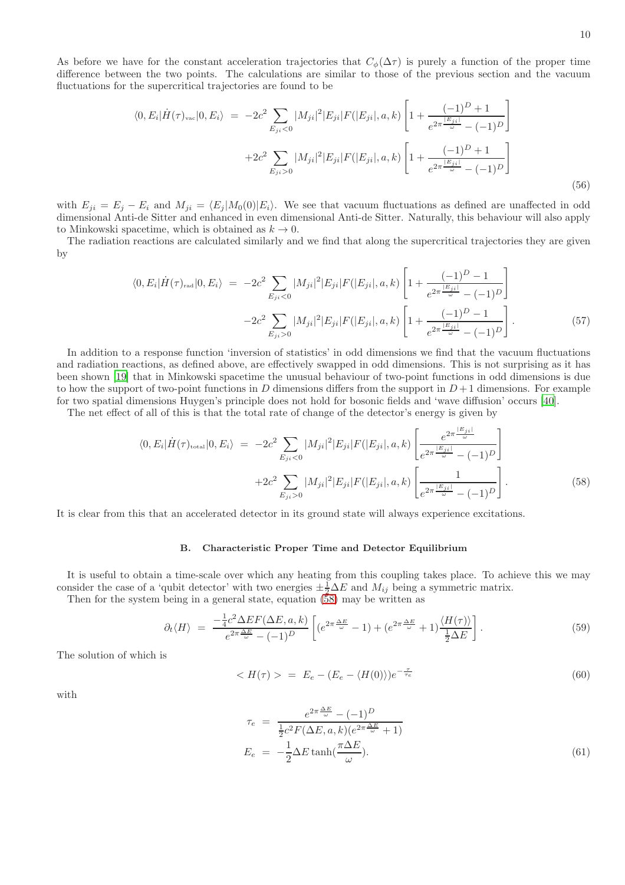As before we have for the constant acceleration trajectories that  $C_{\phi}(\Delta \tau)$  is purely a function of the proper time difference between the two points. The calculations are similar to those of the previous section and the vacuum fluctuations for the supercritical trajectories are found to be

$$
\langle 0, E_i | \dot{H}(\tau)_{\text{vac}} | 0, E_i \rangle = -2c^2 \sum_{E_{ji} < 0} |M_{ji}|^2 |E_{ji}| F(|E_{ji}|, a, k) \left[ 1 + \frac{(-1)^D + 1}{e^{2\pi \frac{|E_{ji}|}{\omega}} - (-1)^D} \right]
$$
\n
$$
+ 2c^2 \sum_{E_{ji} > 0} |M_{ji}|^2 |E_{ji}| F(|E_{ji}|, a, k) \left[ 1 + \frac{(-1)^D + 1}{e^{2\pi \frac{|E_{ji}|}{\omega}} - (-1)^D} \right]
$$
\n(56)

with  $E_{ji} = E_j - E_i$  and  $M_{ji} = \langle E_j | M_0(0) | E_i \rangle$ . We see that vacuum fluctuations as defined are unaffected in odd dimensional Anti-de Sitter and enhanced in even dimensional Anti-de Sitter. Naturally, this behaviour will also apply to Minkowski spacetime, which is obtained as  $k \to 0$ .

The radiation reactions are calculated similarly and we find that along the supercritical trajectories they are given by

$$
\langle 0, E_i | \dot{H}(\tau)_{\text{rad}} | 0, E_i \rangle = -2c^2 \sum_{E_{ji} < 0} |M_{ji}|^2 |E_{ji}| F(|E_{ji}|, a, k) \left[ 1 + \frac{(-1)^D - 1}{e^{2\pi \frac{|E_{ji}|}{\omega}} - (-1)^D} \right] - 2c^2 \sum_{E_{ji} > 0} |M_{ji}|^2 |E_{ji}| F(|E_{ji}|, a, k) \left[ 1 + \frac{(-1)^D - 1}{e^{2\pi \frac{|E_{ji}|}{\omega}} - (-1)^D} \right]. \tag{57}
$$

In addition to a response function 'inversion of statistics' in odd dimensions we find that the vacuum fluctuations and radiation reactions, as defined above, are effectively swapped in odd dimensions. This is not surprising as it has been shown [\[19](#page-11-17)] that in Minkowski spacetime the unusual behaviour of two-point functions in odd dimensions is due to how the support of two-point functions in D dimensions differs from the support in  $D+1$  dimensions. For example for two spatial dimensions Huygen's principle does not hold for bosonic fields and 'wave diffusion' occurs [\[40](#page-12-11)].

The net effect of all of this is that the total rate of change of the detector's energy is given by

<span id="page-9-0"></span>
$$
\langle 0, E_i | \dot{H}(\tau)_{\text{total}} | 0, E_i \rangle = -2c^2 \sum_{E_{ji} < 0} |M_{ji}|^2 |E_{ji}| F(|E_{ji}|, a, k) \left[ \frac{e^{2\pi \frac{|E_{ji}|}{\omega}}}{e^{2\pi \frac{|E_{ji}|}{\omega}} - (-1)^D} \right] + 2c^2 \sum_{E_{ji} > 0} |M_{ji}|^2 |E_{ji}| F(|E_{ji}|, a, k) \left[ \frac{1}{e^{2\pi \frac{|E_{ji}|}{\omega}} - (-1)^D} \right]. \tag{58}
$$

It is clear from this that an accelerated detector in its ground state will always experience excitations.

## B. Characteristic Proper Time and Detector Equilibrium

It is useful to obtain a time-scale over which any heating from this coupling takes place. To achieve this we may consider the case of a 'qubit detector' with two energies  $\pm \frac{1}{2} \Delta E$  and  $M_{ij}$  being a symmetric matrix.

Then for the system being in a general state, equation  $(58)$  may be written as

$$
\partial_t \langle H \rangle = \frac{-\frac{1}{4}c^2 \Delta E F(\Delta E, a, k)}{e^{2\pi \frac{\Delta E}{\omega}} - (-1)^D} \left[ (e^{2\pi \frac{\Delta E}{\omega}} - 1) + (e^{2\pi \frac{\Delta E}{\omega}} + 1) \frac{\langle H(\tau) \rangle}{\frac{1}{2} \Delta E} \right]. \tag{59}
$$

The solution of which is

$$
\langle H(\tau) \rangle = E_e - (E_e - \langle H(0) \rangle) e^{-\frac{\tau}{\tau_e}} \tag{60}
$$

with

$$
\tau_e = \frac{e^{2\pi \frac{\Delta E}{\omega}} - (-1)^D}{\frac{1}{2}c^2 F(\Delta E, a, k)(e^{2\pi \frac{\Delta E}{\omega}} + 1)}
$$

$$
E_e = -\frac{1}{2}\Delta E \tanh(\frac{\pi \Delta E}{\omega}).
$$
(61)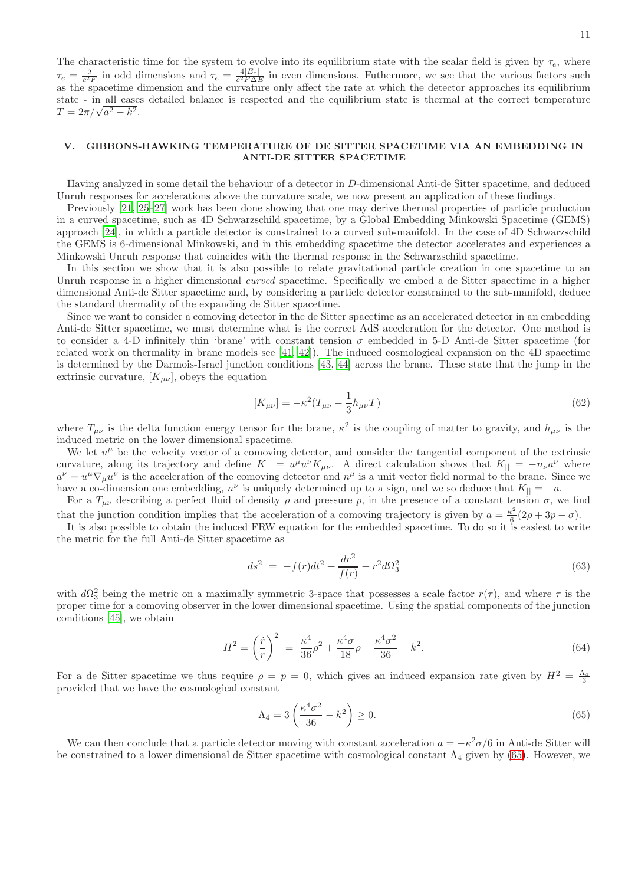The characteristic time for the system to evolve into its equilibrium state with the scalar field is given by  $\tau_e$ , where  $\tau_e = \frac{2}{c^2 F}$  in odd dimensions and  $\tau_e = \frac{4|E_e|}{c^2 F \Delta E}$  in even dimensions. Futhermore, we see that the various factors such as the spacetime dimension and the curvature only affect the rate at which the detector approaches its equilibrium state - in all cases detailed balance is respected and the equilibrium state is thermal at the correct temperature  $T = 2\pi/\sqrt{a^2 - k^2}$ .

## <span id="page-10-0"></span>V. GIBBONS-HAWKING TEMPERATURE OF DE SITTER SPACETIME VIA AN EMBEDDING IN ANTI-DE SITTER SPACETIME

Having analyzed in some detail the behaviour of a detector in D-dimensional Anti-de Sitter spacetime, and deduced Unruh responses for accelerations above the curvature scale, we now present an application of these findings.

Previously [\[21,](#page-11-12) [25](#page-11-23)[–27\]](#page-11-24) work has been done showing that one may derive thermal properties of particle production in a curved spacetime, such as 4D Schwarzschild spacetime, by a Global Embedding Minkowski Spacetime (GEMS) approach [\[24\]](#page-11-19), in which a particle detector is constrained to a curved sub-manifold. In the case of 4D Schwarzschild the GEMS is 6-dimensional Minkowski, and in this embedding spacetime the detector accelerates and experiences a Minkowski Unruh response that coincides with the thermal response in the Schwarzschild spacetime.

In this section we show that it is also possible to relate gravitational particle creation in one spacetime to an Unruh response in a higher dimensional *curved* spacetime. Specifically we embed a de Sitter spacetime in a higher dimensional Anti-de Sitter spacetime and, by considering a particle detector constrained to the sub-manifold, deduce the standard thermality of the expanding de Sitter spacetime.

Since we want to consider a comoving detector in the de Sitter spacetime as an accelerated detector in an embedding Anti-de Sitter spacetime, we must determine what is the correct AdS acceleration for the detector. One method is to consider a 4-D infinitely thin 'brane' with constant tension  $\sigma$  embedded in 5-D Anti-de Sitter spacetime (for related work on thermality in brane models see [\[41](#page-12-12), [42\]](#page-12-13)). The induced cosmological expansion on the 4D spacetime is determined by the Darmois-Israel junction conditions [\[43](#page-12-14), [44\]](#page-12-15) across the brane. These state that the jump in the extrinsic curvature,  $[K_{\mu\nu}]$ , obeys the equation

$$
[K_{\mu\nu}] = -\kappa^2 (T_{\mu\nu} - \frac{1}{3} h_{\mu\nu} T) \tag{62}
$$

where  $T_{\mu\nu}$  is the delta function energy tensor for the brane,  $\kappa^2$  is the coupling of matter to gravity, and  $h_{\mu\nu}$  is the induced metric on the lower dimensional spacetime.

We let  $u^{\mu}$  be the velocity vector of a comoving detector, and consider the tangential component of the extrinsic curvature, along its trajectory and define  $K_{\parallel} = u^{\mu}u^{\nu}K_{\mu\nu}$ . A direct calculation shows that  $K_{\parallel} = -n_{\nu}a^{\nu}$  where  $a^{\nu} = u^{\mu} \nabla_{\mu} u^{\nu}$  is the acceleration of the comoving detector and  $n^{\mu}$  is a unit vector field normal to the brane. Since we have a co-dimension one embedding,  $n^{\nu}$  is uniquely determined up to a sign, and we so deduce that  $K_{\parallel} = -a$ .

For a  $T_{\mu\nu}$  describing a perfect fluid of density  $\rho$  and pressure p, in the presence of a constant tension  $\sigma$ , we find that the junction condition implies that the acceleration of a comoving trajectory is given by  $a = \frac{\kappa^2}{6}$  $\frac{\varepsilon^2}{6}(2\rho+3p-\sigma).$ 

It is also possible to obtain the induced FRW equation for the embedded spacetime. To do so it is easiest to write the metric for the full Anti-de Sitter spacetime as

$$
ds^{2} = -f(r)dt^{2} + \frac{dr^{2}}{f(r)} + r^{2}d\Omega_{3}^{2}
$$
\n(63)

with  $d\Omega_3^2$  being the metric on a maximally symmetric 3-space that possesses a scale factor  $r(\tau)$ , and where  $\tau$  is the proper time for a comoving observer in the lower dimensional spacetime. Using the spatial components of the junction conditions [\[45](#page-12-16)], we obtain

$$
H^{2} = \left(\frac{\dot{r}}{r}\right)^{2} = \frac{\kappa^{4}}{36}\rho^{2} + \frac{\kappa^{4}\sigma}{18}\rho + \frac{\kappa^{4}\sigma^{2}}{36} - k^{2}.
$$
 (64)

For a de Sitter spacetime we thus require  $\rho = p = 0$ , which gives an induced expansion rate given by  $H^2 = \frac{\Lambda_4}{3}$ provided that we have the cosmological constant

<span id="page-10-1"></span>
$$
\Lambda_4 = 3\left(\frac{\kappa^4 \sigma^2}{36} - k^2\right) \ge 0. \tag{65}
$$

We can then conclude that a particle detector moving with constant acceleration  $a = -\kappa^2 \sigma/6$  in Anti-de Sitter will be constrained to a lower dimensional de Sitter spacetime with cosmological constant  $\Lambda_4$  given by [\(65\)](#page-10-1). However, we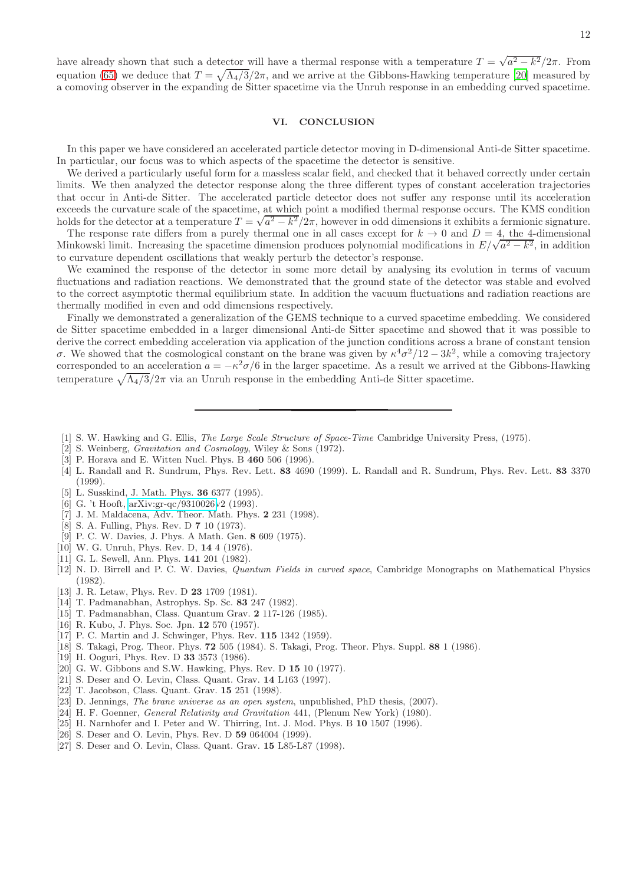have already shown that such a detector will have a thermal response with a temperature  $T = \sqrt{a^2 - k^2}/2\pi$ . From equation [\(65\)](#page-10-1) we deduce that  $T = \sqrt{\Lambda_4/3}/2\pi$ , and we arrive at the Gibbons-Hawking temperature [\[20](#page-11-11)] measured by a comoving observer in the expanding de Sitter spacetime via the Unruh response in an embedding curved spacetime.

## <span id="page-11-22"></span>VI. CONCLUSION

In this paper we have considered an accelerated particle detector moving in D-dimensional Anti-de Sitter spacetime. In particular, our focus was to which aspects of the spacetime the detector is sensitive.

We derived a particularly useful form for a massless scalar field, and checked that it behaved correctly under certain limits. We then analyzed the detector response along the three different types of constant acceleration trajectories that occur in Anti-de Sitter. The accelerated particle detector does not suffer any response until its acceleration exceeds the curvature scale of the spacetime, at which point a modified thermal response occurs. The KMS condition holds for the detector at a temperature  $T = \sqrt{a^2 - k^2}/2\pi$ , however in odd dimensions it exhibits a fermionic signature.

The response rate differs from a purely thermal one in all cases except for  $k \to 0$  and  $D = 4$ , the 4-dimensional Minkowski limit. Increasing the spacetime dimension produces polynomial modifications in  $E/\sqrt{a^2 - k^2}$ , in addition to curvature dependent oscillations that weakly perturb the detector's response.

We examined the response of the detector in some more detail by analysing its evolution in terms of vacuum fluctuations and radiation reactions. We demonstrated that the ground state of the detector was stable and evolved to the correct asymptotic thermal equilibrium state. In addition the vacuum fluctuations and radiation reactions are thermally modified in even and odd dimensions respectively.

Finally we demonstrated a generalization of the GEMS technique to a curved spacetime embedding. We considered de Sitter spacetime embedded in a larger dimensional Anti-de Sitter spacetime and showed that it was possible to derive the correct embedding acceleration via application of the junction conditions across a brane of constant tension σ. We showed that the cosmological constant on the brane was given by  $\kappa^4 \sigma^2/12 - 3k^2$ , while a comoving trajectory corresponded to an acceleration  $a = -\kappa^2 \sigma/6$  in the larger spacetime. As a result we arrived at the Gibbons-Hawking temperature  $\sqrt{\Lambda_4/3}/2\pi$  via an Unruh response in the embedding Anti-de Sitter spacetime.

- <span id="page-11-0"></span>[1] S. W. Hawking and G. Ellis, *The Large Scale Structure of Space-Time* Cambridge University Press, (1975).
- <span id="page-11-1"></span>[2] S. Weinberg, Gravitation and Cosmology, Wiley & Sons (1972).
- <span id="page-11-2"></span>[3] P. Horava and E. Witten Nucl. Phys. B 460 506 (1996).
- <span id="page-11-3"></span>[4] L. Randall and R. Sundrum, Phys. Rev. Lett. 83 4690 (1999). L. Randall and R. Sundrum, Phys. Rev. Lett. 83 3370  $(1999)$
- <span id="page-11-4"></span>[5] L. Susskind, J. Math. Phys. 36 6377 (1995).
- [6] G. 't Hooft, [arXiv:gr-qc/9310026v](http://arxiv.org/abs/gr-qc/9310026)2 (1993).
- <span id="page-11-5"></span>[7] J. M. Maldacena, Adv. Theor. Math. Phys. 2 231 (1998).
- <span id="page-11-6"></span>[8] S. A. Fulling, Phys. Rev. D **7** 10 (1973).
- [9] P. C. W. Davies, J. Phys. A Math. Gen. 8 609 (1975).
- <span id="page-11-13"></span>[10] W. G. Unruh, Phys. Rev. D, **14** 4 (1976).
- <span id="page-11-7"></span>[11] G. L. Sewell, Ann. Phys. 141 201 (1982).
- <span id="page-11-8"></span>[12] N. D. Birrell and P. C. W. Davies, Quantum Fields in curved space, Cambridge Monographs on Mathematical Physics (1982).
- <span id="page-11-9"></span>[13] J. R. Letaw, Phys. Rev. D **23** 1709 (1981).
- [14] T. Padmanabhan, Astrophys. Sp. Sc. 83 247 (1982).
- <span id="page-11-10"></span>[15] T. Padmanabhan, Class. Quantum Grav. 2 117-126 (1985).
- <span id="page-11-14"></span>[16] R. Kubo, J. Phys. Soc. Jpn. 12 570 (1957).
- <span id="page-11-15"></span>[17] P. C. Martin and J. Schwinger, Phys. Rev. 115 1342 (1959).
- <span id="page-11-16"></span>[18] S. Takagi, Prog. Theor. Phys. 72 505 (1984). S. Takagi, Prog. Theor. Phys. Suppl. 88 1 (1986).
- <span id="page-11-17"></span>[19] H. Ooguri, Phys. Rev. D 33 3573 (1986).
- <span id="page-11-11"></span>[20] G. W. Gibbons and S.W. Hawking, Phys. Rev. D 15 10 (1977).
- <span id="page-11-12"></span>[21] S. Deser and O. Levin, Class. Quant. Grav. 14 L163 (1997).
- <span id="page-11-18"></span>[22] T. Jacobson, Class. Quant. Grav. 15 251 (1998).
- <span id="page-11-21"></span>[23] D. Jennings, The brane universe as an open system, unpublished, PhD thesis, (2007).
- <span id="page-11-19"></span>[24] H. F. Goenner, General Relativity and Gravitation 441, (Plenum New York) (1980).
- <span id="page-11-23"></span>[25] H. Narnhofer and I. Peter and W. Thirring, Int. J. Mod. Phys. B 10 1507 (1996).
- <span id="page-11-20"></span>[26] S. Deser and O. Levin, Phys. Rev. D **59** 064004 (1999).
- <span id="page-11-24"></span>[27] S. Deser and O. Levin, Class. Quant. Grav. 15 L85-L87 (1998).